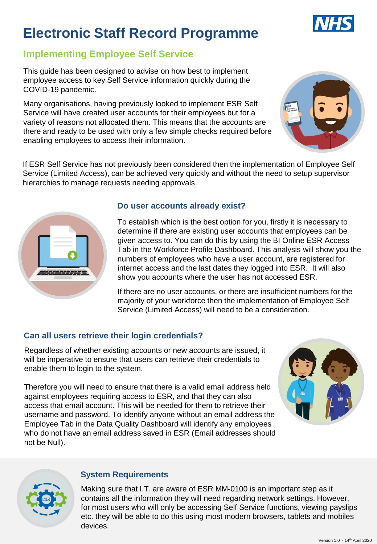# **Electronic Staff Record Programme**

# **Implementing Employee Self Service**

This guide has been designed to advise on how best to implement employee access to key Self Service information quickly during the COVID-19 pandemic.

Many organisations, having previously looked to implement ESR Self Service will have created user accounts for their employees but for a variety of reasons not allocated them. This means that the accounts are there and ready to be used with only a few simple checks required before enabling employees to access their information.

If ESR Self Service has not previously been considered then the implementation of Employee Self Service (Limited Access), can be achieved very quickly and without the need to setup supervisor hierarchies to manage requests needing approvals.



#### **Do user accounts already exist?**

To establish which is the best option for you, firstly it is necessary to determine if there are existing user accounts that employees can be given access to. You can do this by using the BI Online ESR Access Tab in the Workforce Profile Dashboard. This analysis will show you the numbers of employees who have a user account, are registered for internet access and the last dates they logged into ESR. It will also show you accounts where the user has not accessed ESR.

If there are no user accounts, or there are insufficient numbers for the majority of your workforce then the implementation of Employee Self Service (Limited Access) will need to be a consideration.

## **Can all users retrieve their login credentials?**

Regardless of whether existing accounts or new accounts are issued, it will be imperative to ensure that users can retrieve their credentials to enable them to login to the system.

Therefore you will need to ensure that there is a valid email address held against employees requiring access to ESR, and that they can also access that email account. This will be needed for them to retrieve their username and password. To identify anyone without an email address the Employee Tab in the Data Quality Dashboard will identify any employees who do not have an email address saved in ESR (Email addresses should not be Null).





#### **System Requirements**

Making sure that I.T. are aware of ESR MM-0100 is an important step as it contains all the information they will need regarding network settings. However, for most users who will only be accessing Self Service functions, viewing payslips etc. they will be able to do this using most modern browsers, tablets and mobiles devices.



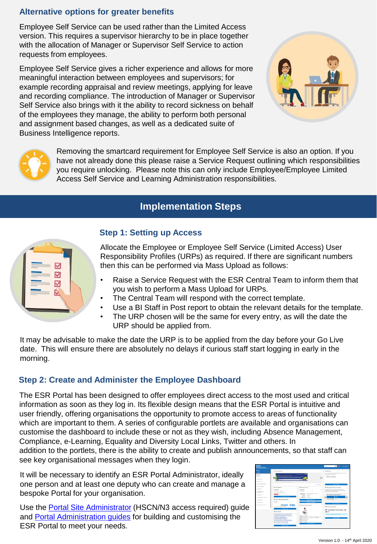### **Alternative options for greater benefits**

Employee Self Service can be used rather than the Limited Access version. This requires a supervisor hierarchy to be in place together with the allocation of Manager or Supervisor Self Service to action requests from employees.

Employee Self Service gives a richer experience and allows for more meaningful interaction between employees and supervisors; for example recording appraisal and review meetings, applying for leave and recording compliance. The introduction of Manager or Supervisor Self Service also brings with it the ability to record sickness on behalf of the employees they manage, the ability to perform both personal and assignment based changes, as well as a dedicated suite of Business Intelligence reports.





Removing the smartcard requirement for Employee Self Service is also an option. If you have not already done this please raise a Service Request outlining which responsibilities you require unlocking. Please note this can only include Employee/Employee Limited Access Self Service and Learning Administration responsibilities.

# **Implementation Steps**



### **Step 1: Setting up Access**

Allocate the Employee or Employee Self Service (Limited Access) User Responsibility Profiles (URPs) as required. If there are significant numbers then this can be performed via Mass Upload as follows:

- Raise a Service Request with the ESR Central Team to inform them that you wish to perform a Mass Upload for URPs.
- The Central Team will respond with the correct template.
- Use a BI Staff in Post report to obtain the relevant details for the template.
- The URP chosen will be the same for every entry, as will the date the URP should be applied from.

It may be advisable to make the date the URP is to be applied from the day before your Go Live date. This will ensure there are absolutely no delays if curious staff start logging in early in the morning.

### **Step 2: Create and Administer the Employee Dashboard**

The ESR Portal has been designed to offer employees direct access to the most used and critical information as soon as they log in. Its flexible design means that the ESR Portal is intuitive and user friendly, offering organisations the opportunity to promote access to areas of functionality which are important to them. A series of configurable portlets are available and organisations can customise the dashboard to include these or not as they wish, including Absence Management, Compliance, e-Learning, Equality and Diversity Local Links, Twitter and others. In

addition to the portlets, there is the ability to create and publish announcements, so that staff can see key organisational messages when they login.

It will be necessary to identify an ESR Portal Administrator, ideally one person and at least one deputy who can create and manage a bespoke Portal for your organisation.

Use the [Portal Site Administrator](https://my.esr.nhs.uk/esrusermanual/html/NAVU1964.htm) (HSCN/N3 access required) guide and [Portal Administration guides](https://www.esr-education.online/portal-administration) for building and customising the ESR Portal to meet your needs.

| <b>Commercial Mark Property</b>                                                                                                                               |                                                                                                                                                                                                                                                                                                                                                                                                                                                                                                                                                                    |                                                                                                                                                                                                                                                                                   | $\Omega$<br>born.<br><b>Set Employee</b>                                                                                                                                                                                                       |
|---------------------------------------------------------------------------------------------------------------------------------------------------------------|--------------------------------------------------------------------------------------------------------------------------------------------------------------------------------------------------------------------------------------------------------------------------------------------------------------------------------------------------------------------------------------------------------------------------------------------------------------------------------------------------------------------------------------------------------------------|-----------------------------------------------------------------------------------------------------------------------------------------------------------------------------------------------------------------------------------------------------------------------------------|------------------------------------------------------------------------------------------------------------------------------------------------------------------------------------------------------------------------------------------------|
| <b>By Role</b><br><b>SALES</b>                                                                                                                                | Announcements                                                                                                                                                                                                                                                                                                                                                                                                                                                                                                                                                      |                                                                                                                                                                                                                                                                                   | My Paysito                                                                                                                                                                                                                                     |
| By FILES<br><b><i><u>Separate</u></i></b><br>Ported Gentlemin<br><b>COLLANSING</b>                                                                            | Welcome to FSR<br>$-$<br><b>NERES NANARRASARRANA</b>                                                                                                                                                                                                                                                                                                                                                                                                                                                                                                               | <b>Contractor Contractor</b><br><b>TECHNIC WEST PRODUCTS</b>                                                                                                                                                                                                                      | There let downstand stool labour appropriate or accurate \$100 by<br>all to come full associate institute<br>- INSTER-Company<br>A Car man on car cars.                                                                                        |
| My Through Member                                                                                                                                             | ٠                                                                                                                                                                                                                                                                                                                                                                                                                                                                                                                                                                  |                                                                                                                                                                                                                                                                                   | <b>Max at Pacific</b><br><b>Manufacturer</b>                                                                                                                                                                                                   |
| <b>My Fits &amp; Rowards</b>                                                                                                                                  | $\alpha$<br><b>My Compilance</b>                                                                                                                                                                                                                                                                                                                                                                                                                                                                                                                                   | My Annual Lewis                                                                                                                                                                                                                                                                   | My Employees And a Lawrence                                                                                                                                                                                                                    |
| Michaelski<br>My Forestone &<br>Competitivia<br>Microsoft<br>14. National and Roman<br>My financial and<br>us, laser dealer<br>Convention Industrial Ave Area | <b>Brockwave</b><br>TOUTAS -CASOVAN<br>i<br>Personal incurrence inc.<br>ü<br>the Constance Mill's<br>My Total Reward Materiality<br>٠<br><b>Source:</b><br>para.mxx<br><b>Sotal Reviewed</b>                                                                                                                                                                                                                                                                                                                                                                       | <b>Analysissim</b><br><b>SERVICES</b><br>Britings Plant Annual Logic House 1 600-<br>Baltimore - No 15 Minute<br>Teken 11 Boxs<br><b>Banker</b> (1994)<br>Famouring 11.15 hours<br><b>CHANG ROOM FLORIDA</b><br><b>TRIA Model Future</b><br><b>NHS</b><br>My Personal Information | A maximum of 36 summer imposing worstnamik, and<br>$\sim$<br>Selection the Hotel and Net care throwing<br>better to one at another param-<br>280 - HPMA Pineman Madules<br><b>Billian</b><br><b>TOTAL REARINGS</b><br><b>Concert Statement</b> |
|                                                                                                                                                               | <b>Statements</b><br>Address Ford<br><b>My Paymenting</b><br>27 Percental Information Arts, Percental Information's<br><sup>8</sup> Published Artist Adv Published Advisered<br>To Double Alformation Arts Plemonst Information<br>If here my he a breeze.<br><b>R. Australia conduction changerings</b><br><b>B. Josephine America Associates</b><br>17 Second Coloradors arts Demonst Informations<br>If benefit Considered His Holmest Machabish<br><b>W. Carera Record French Chrysler</b><br>all these beach of funding of actuals.<br><b>Manage Fassence</b> | $\sim$<br><b>Base Tel Francisco</b><br>Address Addressing 1 debtors Lite 2 degrees Lite 3.<br>WHAT ANIGHTEL FVS ME 1500-95202<br>Morris Scott Let Mid-<br>Marketing collection street within<br><b>WAY CONTINUES</b><br><b>Peaker</b> Centuryof<br><b>SAME OF STREET</b>          | <b>EGS Lienswing Trake</b><br><b>M</b> Tuesday February 14,<br>2017<br>This bond on changes is the rang 7 days.<br><b>The Rt Cannes</b>                                                                                                        |